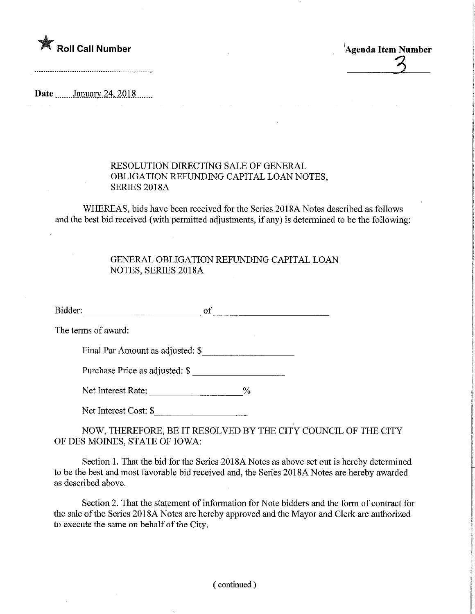

Agenda Item Number

Date **........January 24, 2018** 

## RESOLUTION DIRECTING SALE OF GENERAL OBLIGATION REFUNDING CAPITAL LOAN NOTES, SERIES 2018A

WHEREAS, bids have been received for the Series 2018A Notes described as follows and the best bid received (with permitted adjustments, if any) is determined to be the following

 $\mathcal{L}^{\mathcal{L}}(\mathcal{L}^{\mathcal{L}})$  and the contribution of the contribution of the contribution of the contribution of the contribution of the contribution of the contribution of the contribution of the contribution of the con

## GENERAL OBLIGATION REFUNDING CAPITAL LOAN NOTES, SERIES 2018A

Bidder: of of

The terms of award:

Final Par Amount as adjusted: \$

Purchase Price as adjusted: \$

Net Interest Rate: \_\_\_\_\_\_\_\_\_\_\_\_\_\_\_\_\_\_\_\_\_\_\_%

Net Interest Cost: \$

NOW, THEREFORE, BE IT RESOLVED BY THE CITY COUNCIL OF THE CITY OF DES MOINES, STATE OF IOWA:

Section 1. That the bid for the Series 2018A Notes as above set out is hereby determined to be the best and most favorable bid received and, the Series 2018A Notes are hereby awarded as described above.

Section 2. That the statement of information for Note bidders and the form of contract for the sale of the Series 201 8A Notes are hereby approved and the Mayor and Clerk are authorized to execute the same on behalf of the City.